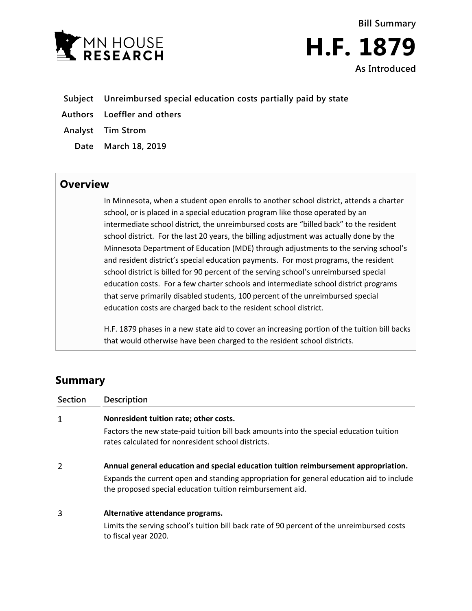



- **Subject Unreimbursed special education costs partially paid by state**
- **Authors Loeffler and others**
- **Analyst Tim Strom**
	- **Date March 18, 2019**

## **Overview**

In Minnesota, when a student open enrolls to another school district, attends a charter school, or is placed in a special education program like those operated by an intermediate school district, the unreimbursed costs are "billed back" to the resident school district. For the last 20 years, the billing adjustment was actually done by the Minnesota Department of Education (MDE) through adjustments to the serving school's and resident district's special education payments. For most programs, the resident school district is billed for 90 percent of the serving school's unreimbursed special education costs. For a few charter schools and intermediate school district programs that serve primarily disabled students, 100 percent of the unreimbursed special education costs are charged back to the resident school district.

H.F. 1879 phases in a new state aid to cover an increasing portion of the tuition bill backs that would otherwise have been charged to the resident school districts.

# **Summary**

| <b>Section</b> | <b>Description</b>                                                                                                                                    |
|----------------|-------------------------------------------------------------------------------------------------------------------------------------------------------|
| 1              | Nonresident tuition rate; other costs.                                                                                                                |
|                | Factors the new state-paid tuition bill back amounts into the special education tuition<br>rates calculated for nonresident school districts.         |
| 2              | Annual general education and special education tuition reimbursement appropriation.                                                                   |
|                | Expands the current open and standing appropriation for general education aid to include<br>the proposed special education tuition reimbursement aid. |
| 3              | Alternative attendance programs.                                                                                                                      |
|                | Limits the serving school's tuition bill back rate of 90 percent of the unreimbursed costs<br>to fiscal year 2020.                                    |